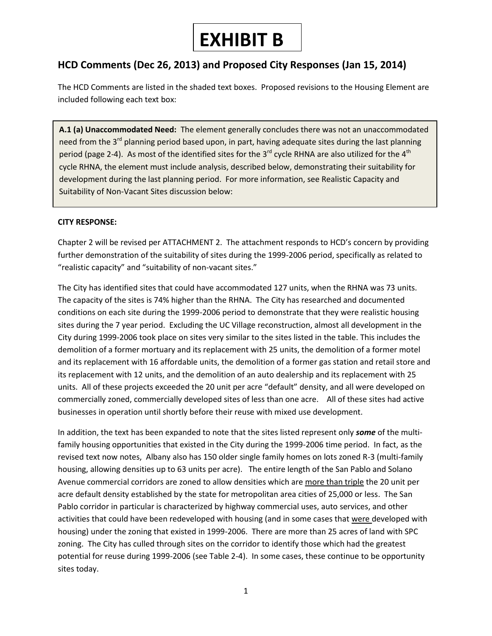# **EXHIBIT B**

## **HCD Comments (Dec 26, 2013) and Proposed City Responses (Jan 15, 2014)**

The HCD Comments are listed in the shaded text boxes. Proposed revisions to the Housing Element are included following each text box:

**A.1 (a) Unaccommodated Need:** The element generally concludes there was not an unaccommodated need from the 3<sup>rd</sup> planning period based upon, in part, having adequate sites during the last planning period (page 2-4). As most of the identified sites for the 3<sup>rd</sup> cycle RHNA are also utilized for the 4<sup>th</sup> cycle RHNA, the element must include analysis, described below, demonstrating their suitability for development during the last planning period. For more information, see Realistic Capacity and Suitability of Non-Vacant Sites discussion below:

#### **CITY RESPONSE:**

Chapter 2 will be revised per ATTACHMENT 2. The attachment responds to HCD's concern by providing further demonstration of the suitability of sites during the 1999-2006 period, specifically as related to "realistic capacity" and "suitability of non-vacant sites."

The City has identified sites that could have accommodated 127 units, when the RHNA was 73 units. The capacity of the sites is 74% higher than the RHNA. The City has researched and documented conditions on each site during the 1999-2006 period to demonstrate that they were realistic housing sites during the 7 year period. Excluding the UC Village reconstruction, almost all development in the City during 1999-2006 took place on sites very similar to the sites listed in the table. This includes the demolition of a former mortuary and its replacement with 25 units, the demolition of a former motel and its replacement with 16 affordable units, the demolition of a former gas station and retail store and its replacement with 12 units, and the demolition of an auto dealership and its replacement with 25 units. All of these projects exceeded the 20 unit per acre "default" density, and all were developed on commercially zoned, commercially developed sites of less than one acre. All of these sites had active businesses in operation until shortly before their reuse with mixed use development.

In addition, the text has been expanded to note that the sites listed represent only *some* of the multifamily housing opportunities that existed in the City during the 1999-2006 time period. In fact, as the revised text now notes, Albany also has 150 older single family homes on lots zoned R-3 (multi-family housing, allowing densities up to 63 units per acre). The entire length of the San Pablo and Solano Avenue commercial corridors are zoned to allow densities which are more than triple the 20 unit per acre default density established by the state for metropolitan area cities of 25,000 or less. The San Pablo corridor in particular is characterized by highway commercial uses, auto services, and other activities that could have been redeveloped with housing (and in some cases that were developed with housing) under the zoning that existed in 1999-2006. There are more than 25 acres of land with SPC zoning. The City has culled through sites on the corridor to identify those which had the greatest potential for reuse during 1999-2006 (see Table 2-4). In some cases, these continue to be opportunity sites today.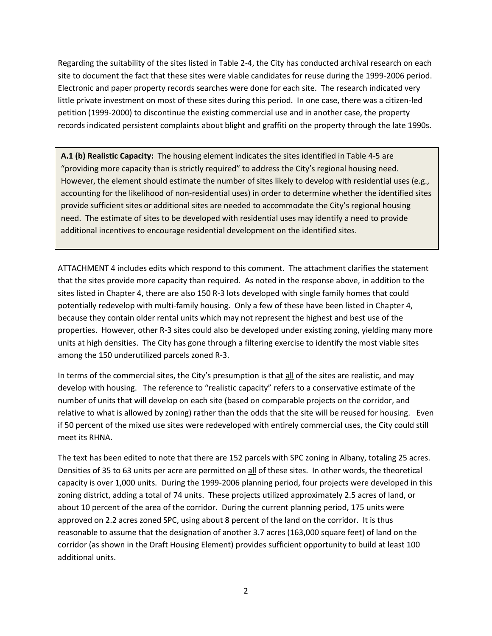Regarding the suitability of the sites listed in Table 2-4, the City has conducted archival research on each site to document the fact that these sites were viable candidates for reuse during the 1999-2006 period. Electronic and paper property records searches were done for each site. The research indicated very little private investment on most of these sites during this period. In one case, there was a citizen-led petition (1999-2000) to discontinue the existing commercial use and in another case, the property records indicated persistent complaints about blight and graffiti on the property through the late 1990s.

**A.1 (b) Realistic Capacity:** The housing element indicates the sites identified in Table 4-5 are "providing more capacity than is strictly required" to address the City's regional housing need. However, the element should estimate the number of sites likely to develop with residential uses (e.g., accounting for the likelihood of non-residential uses) in order to determine whether the identified sites provide sufficient sites or additional sites are needed to accommodate the City's regional housing need. The estimate of sites to be developed with residential uses may identify a need to provide additional incentives to encourage residential development on the identified sites.

ATTACHMENT 4 includes edits which respond to this comment. The attachment clarifies the statement that the sites provide more capacity than required. As noted in the response above, in addition to the sites listed in Chapter 4, there are also 150 R-3 lots developed with single family homes that could potentially redevelop with multi-family housing. Only a few of these have been listed in Chapter 4, because they contain older rental units which may not represent the highest and best use of the properties. However, other R-3 sites could also be developed under existing zoning, yielding many more units at high densities. The City has gone through a filtering exercise to identify the most viable sites among the 150 underutilized parcels zoned R-3.

In terms of the commercial sites, the City's presumption is that all of the sites are realistic, and may develop with housing. The reference to "realistic capacity" refers to a conservative estimate of the number of units that will develop on each site (based on comparable projects on the corridor, and relative to what is allowed by zoning) rather than the odds that the site will be reused for housing. Even if 50 percent of the mixed use sites were redeveloped with entirely commercial uses, the City could still meet its RHNA.

The text has been edited to note that there are 152 parcels with SPC zoning in Albany, totaling 25 acres. Densities of 35 to 63 units per acre are permitted on all of these sites. In other words, the theoretical capacity is over 1,000 units. During the 1999-2006 planning period, four projects were developed in this zoning district, adding a total of 74 units. These projects utilized approximately 2.5 acres of land, or about 10 percent of the area of the corridor. During the current planning period, 175 units were approved on 2.2 acres zoned SPC, using about 8 percent of the land on the corridor. It is thus reasonable to assume that the designation of another 3.7 acres (163,000 square feet) of land on the corridor (as shown in the Draft Housing Element) provides sufficient opportunity to build at least 100 additional units.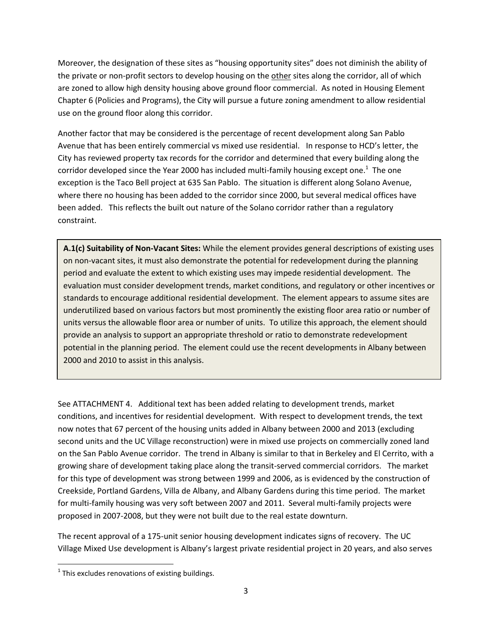Moreover, the designation of these sites as "housing opportunity sites" does not diminish the ability of the private or non-profit sectors to develop housing on the other sites along the corridor, all of which are zoned to allow high density housing above ground floor commercial. As noted in Housing Element Chapter 6 (Policies and Programs), the City will pursue a future zoning amendment to allow residential use on the ground floor along this corridor.

Another factor that may be considered is the percentage of recent development along San Pablo Avenue that has been entirely commercial vs mixed use residential. In response to HCD's letter, the City has reviewed property tax records for the corridor and determined that every building along the corridor developed since the Year 2000 has included multi-family housing except one. $^{\rm 1}$  The one exception is the Taco Bell project at 635 San Pablo. The situation is different along Solano Avenue, where there no housing has been added to the corridor since 2000, but several medical offices have been added. This reflects the built out nature of the Solano corridor rather than a regulatory constraint.

**A.1(c) Suitability of Non-Vacant Sites:** While the element provides general descriptions of existing uses on non-vacant sites, it must also demonstrate the potential for redevelopment during the planning period and evaluate the extent to which existing uses may impede residential development. The evaluation must consider development trends, market conditions, and regulatory or other incentives or standards to encourage additional residential development. The element appears to assume sites are underutilized based on various factors but most prominently the existing floor area ratio or number of units versus the allowable floor area or number of units. To utilize this approach, the element should provide an analysis to support an appropriate threshold or ratio to demonstrate redevelopment potential in the planning period. The element could use the recent developments in Albany between 2000 and 2010 to assist in this analysis.

See ATTACHMENT 4. Additional text has been added relating to development trends, market conditions, and incentives for residential development. With respect to development trends, the text now notes that 67 percent of the housing units added in Albany between 2000 and 2013 (excluding second units and the UC Village reconstruction) were in mixed use projects on commercially zoned land on the San Pablo Avenue corridor. The trend in Albany is similar to that in Berkeley and El Cerrito, with a growing share of development taking place along the transit-served commercial corridors. The market for this type of development was strong between 1999 and 2006, as is evidenced by the construction of Creekside, Portland Gardens, Villa de Albany, and Albany Gardens during this time period. The market for multi-family housing was very soft between 2007 and 2011. Several multi-family projects were proposed in 2007-2008, but they were not built due to the real estate downturn.

The recent approval of a 175-unit senior housing development indicates signs of recovery. The UC Village Mixed Use development is Albany's largest private residential project in 20 years, and also serves

 $\overline{\phantom{a}}$ 

 $^{1}$  This excludes renovations of existing buildings.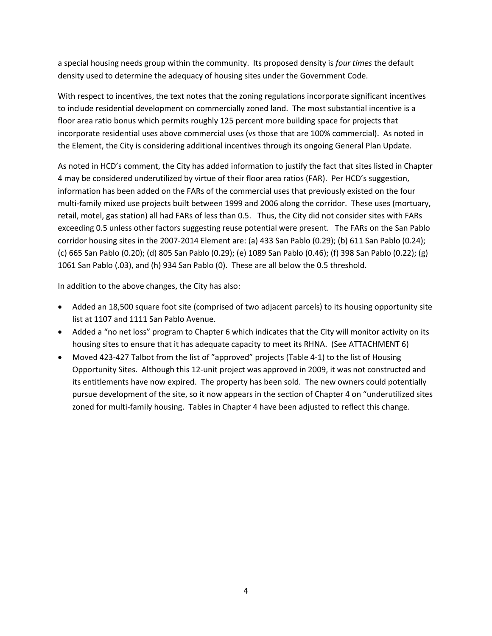a special housing needs group within the community. Its proposed density is *four times* the default density used to determine the adequacy of housing sites under the Government Code.

With respect to incentives, the text notes that the zoning regulations incorporate significant incentives to include residential development on commercially zoned land. The most substantial incentive is a floor area ratio bonus which permits roughly 125 percent more building space for projects that incorporate residential uses above commercial uses (vs those that are 100% commercial). As noted in the Element, the City is considering additional incentives through its ongoing General Plan Update.

As noted in HCD's comment, the City has added information to justify the fact that sites listed in Chapter 4 may be considered underutilized by virtue of their floor area ratios (FAR). Per HCD's suggestion, information has been added on the FARs of the commercial uses that previously existed on the four multi-family mixed use projects built between 1999 and 2006 along the corridor. These uses (mortuary, retail, motel, gas station) all had FARs of less than 0.5. Thus, the City did not consider sites with FARs exceeding 0.5 unless other factors suggesting reuse potential were present. The FARs on the San Pablo corridor housing sites in the 2007-2014 Element are: (a) 433 San Pablo (0.29); (b) 611 San Pablo (0.24); (c) 665 San Pablo (0.20); (d) 805 San Pablo (0.29); (e) 1089 San Pablo (0.46); (f) 398 San Pablo (0.22); (g) 1061 San Pablo (.03), and (h) 934 San Pablo (0). These are all below the 0.5 threshold.

In addition to the above changes, the City has also:

- Added an 18,500 square foot site (comprised of two adjacent parcels) to its housing opportunity site list at 1107 and 1111 San Pablo Avenue.
- Added a "no net loss" program to Chapter 6 which indicates that the City will monitor activity on its housing sites to ensure that it has adequate capacity to meet its RHNA. (See ATTACHMENT 6)
- Moved 423-427 Talbot from the list of "approved" projects (Table 4-1) to the list of Housing Opportunity Sites. Although this 12-unit project was approved in 2009, it was not constructed and its entitlements have now expired. The property has been sold. The new owners could potentially pursue development of the site, so it now appears in the section of Chapter 4 on "underutilized sites zoned for multi-family housing. Tables in Chapter 4 have been adjusted to reflect this change.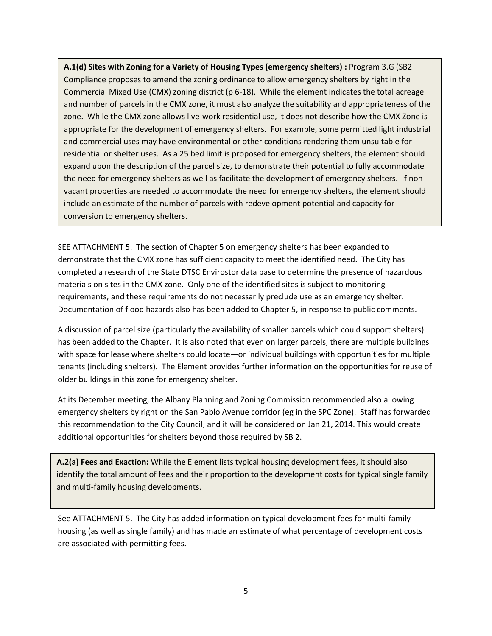**A.1(d) Sites with Zoning for a Variety of Housing Types (emergency shelters) :** Program 3.G (SB2 Compliance proposes to amend the zoning ordinance to allow emergency shelters by right in the Commercial Mixed Use (CMX) zoning district (p 6-18). While the element indicates the total acreage and number of parcels in the CMX zone, it must also analyze the suitability and appropriateness of the zone. While the CMX zone allows live-work residential use, it does not describe how the CMX Zone is appropriate for the development of emergency shelters. For example, some permitted light industrial and commercial uses may have environmental or other conditions rendering them unsuitable for residential or shelter uses. As a 25 bed limit is proposed for emergency shelters, the element should expand upon the description of the parcel size, to demonstrate their potential to fully accommodate the need for emergency shelters as well as facilitate the development of emergency shelters. If non vacant properties are needed to accommodate the need for emergency shelters, the element should include an estimate of the number of parcels with redevelopment potential and capacity for conversion to emergency shelters.

SEE ATTACHMENT 5. The section of Chapter 5 on emergency shelters has been expanded to demonstrate that the CMX zone has sufficient capacity to meet the identified need. The City has completed a research of the State DTSC Envirostor data base to determine the presence of hazardous materials on sites in the CMX zone. Only one of the identified sites is subject to monitoring requirements, and these requirements do not necessarily preclude use as an emergency shelter. Documentation of flood hazards also has been added to Chapter 5, in response to public comments.

A discussion of parcel size (particularly the availability of smaller parcels which could support shelters) has been added to the Chapter. It is also noted that even on larger parcels, there are multiple buildings with space for lease where shelters could locate—or individual buildings with opportunities for multiple tenants (including shelters). The Element provides further information on the opportunities for reuse of older buildings in this zone for emergency shelter.

At its December meeting, the Albany Planning and Zoning Commission recommended also allowing emergency shelters by right on the San Pablo Avenue corridor (eg in the SPC Zone). Staff has forwarded this recommendation to the City Council, and it will be considered on Jan 21, 2014. This would create additional opportunities for shelters beyond those required by SB 2.

**A.2(a) Fees and Exaction:** While the Element lists typical housing development fees, it should also identify the total amount of fees and their proportion to the development costs for typical single family and multi-family housing developments.

See ATTACHMENT 5. The City has added information on typical development fees for multi-family housing (as well as single family) and has made an estimate of what percentage of development costs are associated with permitting fees.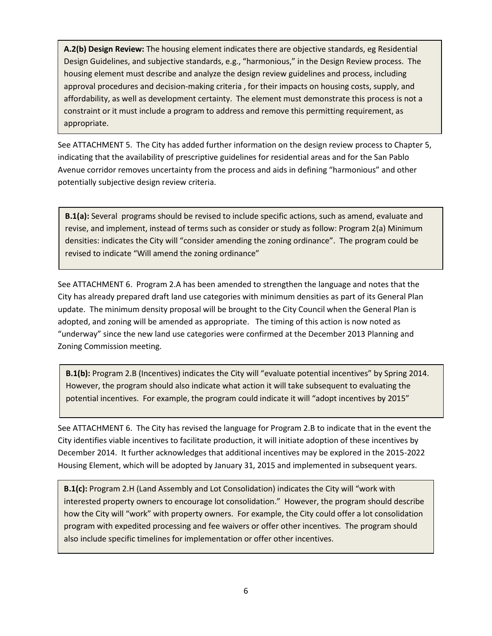**A.2(b) Design Review:** The housing element indicates there are objective standards, eg Residential Design Guidelines, and subjective standards, e.g., "harmonious," in the Design Review process. The housing element must describe and analyze the design review guidelines and process, including approval procedures and decision-making criteria , for their impacts on housing costs, supply, and affordability, as well as development certainty. The element must demonstrate this process is not a constraint or it must include a program to address and remove this permitting requirement, as appropriate.

See ATTACHMENT 5. The City has added further information on the design review process to Chapter 5, indicating that the availability of prescriptive guidelines for residential areas and for the San Pablo Avenue corridor removes uncertainty from the process and aids in defining "harmonious" and other potentially subjective design review criteria.

**B.1(a):** Several programs should be revised to include specific actions, such as amend, evaluate and revise, and implement, instead of terms such as consider or study as follow: Program 2(a) Minimum densities: indicates the City will "consider amending the zoning ordinance". The program could be revised to indicate "Will amend the zoning ordinance"

See ATTACHMENT 6. Program 2.A has been amended to strengthen the language and notes that the City has already prepared draft land use categories with minimum densities as part of its General Plan update. The minimum density proposal will be brought to the City Council when the General Plan is adopted, and zoning will be amended as appropriate. The timing of this action is now noted as "underway" since the new land use categories were confirmed at the December 2013 Planning and Zoning Commission meeting.

**B.1(b):** Program 2.B (Incentives) indicates the City will "evaluate potential incentives" by Spring 2014. However, the program should also indicate what action it will take subsequent to evaluating the potential incentives. For example, the program could indicate it will "adopt incentives by 2015"

See ATTACHMENT 6. The City has revised the language for Program 2.B to indicate that in the event the City identifies viable incentives to facilitate production, it will initiate adoption of these incentives by December 2014. It further acknowledges that additional incentives may be explored in the 2015-2022 Housing Element, which will be adopted by January 31, 2015 and implemented in subsequent years.

**B.1(c):** Program 2.H (Land Assembly and Lot Consolidation) indicates the City will "work with interested property owners to encourage lot consolidation." However, the program should describe how the City will "work" with property owners. For example, the City could offer a lot consolidation program with expedited processing and fee waivers or offer other incentives. The program should also include specific timelines for implementation or offer other incentives.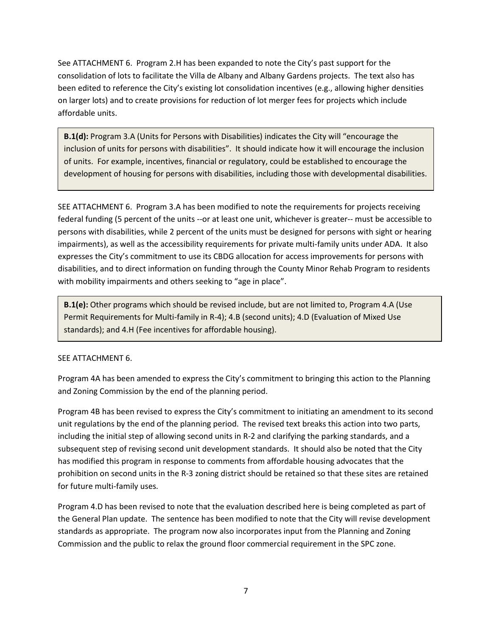See ATTACHMENT 6. Program 2.H has been expanded to note the City's past support for the consolidation of lots to facilitate the Villa de Albany and Albany Gardens projects. The text also has been edited to reference the City's existing lot consolidation incentives (e.g., allowing higher densities on larger lots) and to create provisions for reduction of lot merger fees for projects which include affordable units.

**B.1(d):** Program 3.A (Units for Persons with Disabilities) indicates the City will "encourage the inclusion of units for persons with disabilities". It should indicate how it will encourage the inclusion of units. For example, incentives, financial or regulatory, could be established to encourage the development of housing for persons with disabilities, including those with developmental disabilities.

SEE ATTACHMENT 6. Program 3.A has been modified to note the requirements for projects receiving federal funding (5 percent of the units --or at least one unit, whichever is greater-- must be accessible to persons with disabilities, while 2 percent of the units must be designed for persons with sight or hearing impairments), as well as the accessibility requirements for private multi-family units under ADA. It also expresses the City's commitment to use its CBDG allocation for access improvements for persons with disabilities, and to direct information on funding through the County Minor Rehab Program to residents with mobility impairments and others seeking to "age in place".

**B.1(e):** Other programs which should be revised include, but are not limited to, Program 4.A (Use Permit Requirements for Multi-family in R-4); 4.B (second units); 4.D (Evaluation of Mixed Use standards); and 4.H (Fee incentives for affordable housing).

#### SEE ATTACHMENT 6.

Program 4A has been amended to express the City's commitment to bringing this action to the Planning and Zoning Commission by the end of the planning period.

Program 4B has been revised to express the City's commitment to initiating an amendment to its second unit regulations by the end of the planning period. The revised text breaks this action into two parts, including the initial step of allowing second units in R-2 and clarifying the parking standards, and a subsequent step of revising second unit development standards. It should also be noted that the City has modified this program in response to comments from affordable housing advocates that the prohibition on second units in the R-3 zoning district should be retained so that these sites are retained for future multi-family uses.

Program 4.D has been revised to note that the evaluation described here is being completed as part of the General Plan update. The sentence has been modified to note that the City will revise development standards as appropriate. The program now also incorporates input from the Planning and Zoning Commission and the public to relax the ground floor commercial requirement in the SPC zone.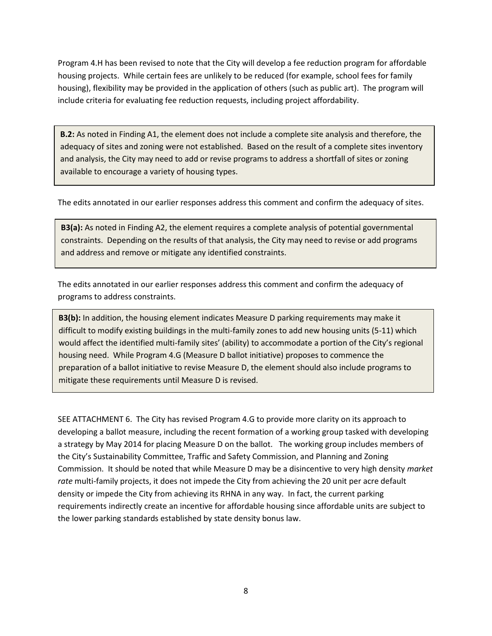Program 4.H has been revised to note that the City will develop a fee reduction program for affordable housing projects. While certain fees are unlikely to be reduced (for example, school fees for family housing), flexibility may be provided in the application of others (such as public art). The program will include criteria for evaluating fee reduction requests, including project affordability.

**B.2:** As noted in Finding A1, the element does not include a complete site analysis and therefore, the adequacy of sites and zoning were not established. Based on the result of a complete sites inventory and analysis, the City may need to add or revise programs to address a shortfall of sites or zoning available to encourage a variety of housing types.

The edits annotated in our earlier responses address this comment and confirm the adequacy of sites.

**B3(a):** As noted in Finding A2, the element requires a complete analysis of potential governmental constraints. Depending on the results of that analysis, the City may need to revise or add programs and address and remove or mitigate any identified constraints.

The edits annotated in our earlier responses address this comment and confirm the adequacy of programs to address constraints.

**B3(b):** In addition, the housing element indicates Measure D parking requirements may make it difficult to modify existing buildings in the multi-family zones to add new housing units (5-11) which would affect the identified multi-family sites' (ability) to accommodate a portion of the City's regional housing need. While Program 4.G (Measure D ballot initiative) proposes to commence the preparation of a ballot initiative to revise Measure D, the element should also include programs to mitigate these requirements until Measure D is revised.

SEE ATTACHMENT 6. The City has revised Program 4.G to provide more clarity on its approach to developing a ballot measure, including the recent formation of a working group tasked with developing a strategy by May 2014 for placing Measure D on the ballot. The working group includes members of the City's Sustainability Committee, Traffic and Safety Commission, and Planning and Zoning Commission. It should be noted that while Measure D may be a disincentive to very high density *market rate* multi-family projects, it does not impede the City from achieving the 20 unit per acre default density or impede the City from achieving its RHNA in any way. In fact, the current parking requirements indirectly create an incentive for affordable housing since affordable units are subject to the lower parking standards established by state density bonus law.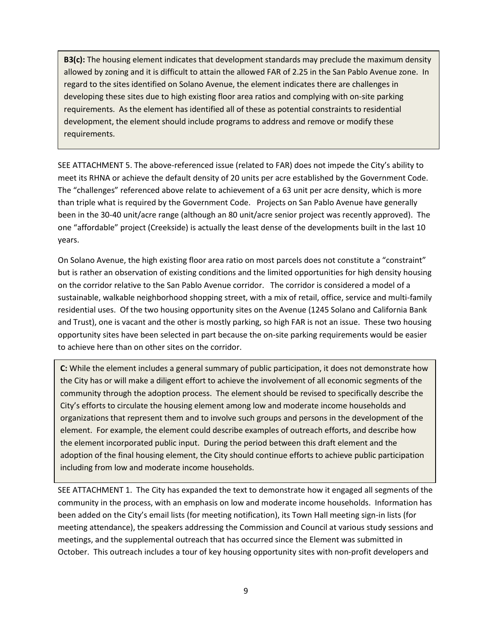**B3(c):** The housing element indicates that development standards may preclude the maximum density allowed by zoning and it is difficult to attain the allowed FAR of 2.25 in the San Pablo Avenue zone. In regard to the sites identified on Solano Avenue, the element indicates there are challenges in developing these sites due to high existing floor area ratios and complying with on-site parking requirements. As the element has identified all of these as potential constraints to residential development, the element should include programs to address and remove or modify these requirements.

SEE ATTACHMENT 5. The above-referenced issue (related to FAR) does not impede the City's ability to meet its RHNA or achieve the default density of 20 units per acre established by the Government Code. The "challenges" referenced above relate to achievement of a 63 unit per acre density, which is more than triple what is required by the Government Code. Projects on San Pablo Avenue have generally been in the 30-40 unit/acre range (although an 80 unit/acre senior project was recently approved). The one "affordable" project (Creekside) is actually the least dense of the developments built in the last 10 years.

On Solano Avenue, the high existing floor area ratio on most parcels does not constitute a "constraint" but is rather an observation of existing conditions and the limited opportunities for high density housing on the corridor relative to the San Pablo Avenue corridor. The corridor is considered a model of a sustainable, walkable neighborhood shopping street, with a mix of retail, office, service and multi-family residential uses. Of the two housing opportunity sites on the Avenue (1245 Solano and California Bank and Trust), one is vacant and the other is mostly parking, so high FAR is not an issue. These two housing opportunity sites have been selected in part because the on-site parking requirements would be easier to achieve here than on other sites on the corridor.

**C:** While the element includes a general summary of public participation, it does not demonstrate how the City has or will make a diligent effort to achieve the involvement of all economic segments of the community through the adoption process. The element should be revised to specifically describe the City's efforts to circulate the housing element among low and moderate income households and organizations that represent them and to involve such groups and persons in the development of the element. For example, the element could describe examples of outreach efforts, and describe how the element incorporated public input. During the period between this draft element and the adoption of the final housing element, the City should continue efforts to achieve public participation including from low and moderate income households.

SEE ATTACHMENT 1. The City has expanded the text to demonstrate how it engaged all segments of the community in the process, with an emphasis on low and moderate income households. Information has been added on the City's email lists (for meeting notification), its Town Hall meeting sign-in lists (for meeting attendance), the speakers addressing the Commission and Council at various study sessions and meetings, and the supplemental outreach that has occurred since the Element was submitted in October. This outreach includes a tour of key housing opportunity sites with non-profit developers and